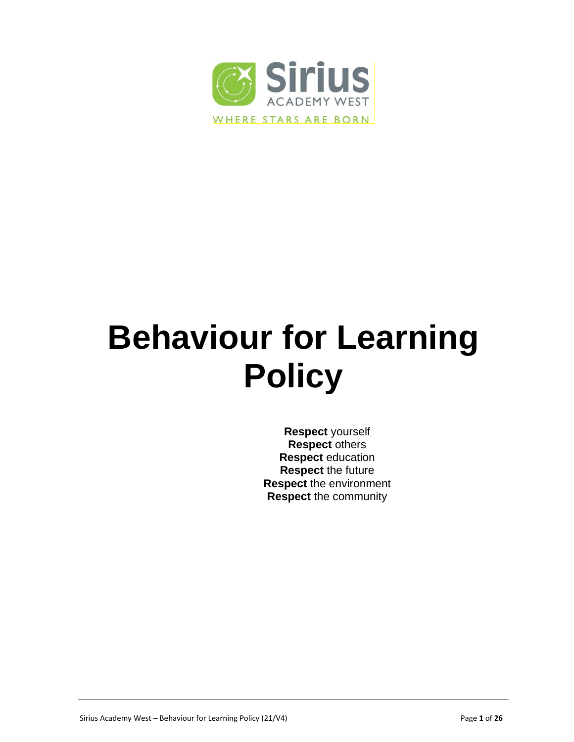

# **Behaviour for Learning Policy**

**Respect** yourself **Respect** others **Respect** education **Respect** the future **Respect** the environment **Respect** the community

Sirius Academy West – Behaviour for Learning Policy (21/V4) Page **1** of **26**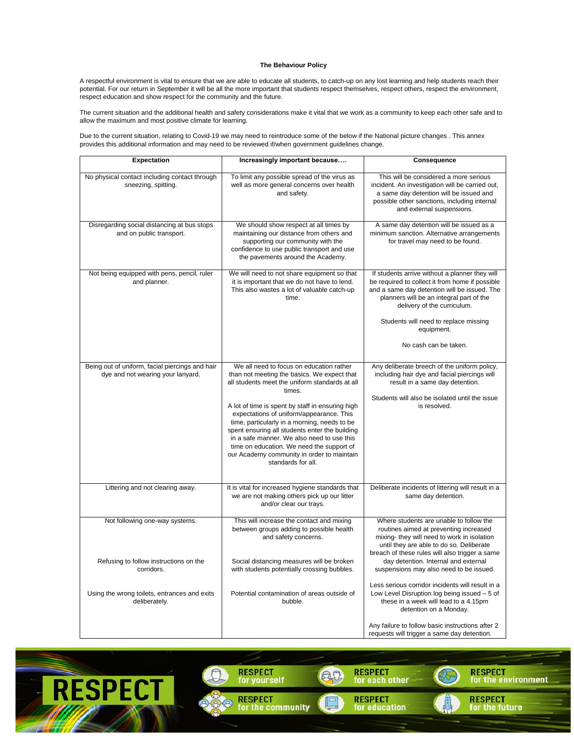#### **The Behaviour Policy**

A respectful environment is vital to ensure that we are able to educate all students, to catch-up on any lost learning and help students reach their potential. For our return in September it will be all the more important that students respect themselves, respect others, respect the environment, respect education and show respect for the community and the future.

The current situation and the additional health and safety considerations make it vital that we work as a community to keep each other safe and to allow the maximum and most positive climate for learning.

Due to the current situation, relating to Covid-19 we may need to reintroduce some of the below if the National picture changes . This annex provides this additional information and may need to be reviewed if/when government guidelines change.

| <b>Expectation</b>                                                                   | Increasingly important because                                                                                                                                                                                                                                                                                                                                                                                                                                                                                       | Consequence                                                                                                                                                                                                                    |
|--------------------------------------------------------------------------------------|----------------------------------------------------------------------------------------------------------------------------------------------------------------------------------------------------------------------------------------------------------------------------------------------------------------------------------------------------------------------------------------------------------------------------------------------------------------------------------------------------------------------|--------------------------------------------------------------------------------------------------------------------------------------------------------------------------------------------------------------------------------|
| No physical contact including contact through<br>sneezing, spitting.                 | To limit any possible spread of the virus as<br>well as more general concerns over health<br>and safety.                                                                                                                                                                                                                                                                                                                                                                                                             | This will be considered a more serious<br>incident. An investigation will be carried out,<br>a same day detention will be issued and<br>possible other sanctions, including internal<br>and external suspensions.              |
| Disregarding social distancing at bus stops<br>and on public transport.              | We should show respect at all times by<br>maintaining our distance from others and<br>supporting our community with the<br>confidence to use public transport and use<br>the pavements around the Academy.                                                                                                                                                                                                                                                                                                           | A same day detention will be issued as a<br>minimum sanction. Alternative arrangements<br>for travel may need to be found.                                                                                                     |
| Not being equipped with pens, pencil, ruler<br>and planner.                          | We will need to not share equipment so that<br>it is important that we do not have to lend.<br>This also wastes a lot of valuable catch-up<br>time.                                                                                                                                                                                                                                                                                                                                                                  | If students arrive without a planner they will<br>be required to collect it from home if possible<br>and a same day detention will be issued. The<br>planners will be an integral part of the<br>delivery of the curriculum.   |
|                                                                                      |                                                                                                                                                                                                                                                                                                                                                                                                                                                                                                                      | Students will need to replace missing<br>equipment.                                                                                                                                                                            |
|                                                                                      |                                                                                                                                                                                                                                                                                                                                                                                                                                                                                                                      | No cash can be taken.                                                                                                                                                                                                          |
| Being out of uniform, facial piercings and hair<br>dye and not wearing your lanyard. | We all need to focus on education rather<br>than not meeting the basics. We expect that<br>all students meet the uniform standards at all<br>times.<br>A lot of time is spent by staff in ensuring high<br>expectations of uniform/appearance. This<br>time, particularly in a morning, needs to be<br>spent ensuring all students enter the building<br>in a safe manner. We also need to use this<br>time on education. We need the support of<br>our Academy community in order to maintain<br>standards for all. | Any deliberate breech of the uniform policy,<br>including hair dye and facial piercings will<br>result in a same day detention.<br>Students will also be isolated until the issue<br>is resolved.                              |
| Littering and not clearing away.                                                     | It is vital for increased hygiene standards that<br>we are not making others pick up our litter<br>and/or clear our trays.                                                                                                                                                                                                                                                                                                                                                                                           | Deliberate incidents of littering will result in a<br>same day detention.                                                                                                                                                      |
| Not following one-way systems.                                                       | This will increase the contact and mixing<br>between groups adding to possible health<br>and safety concerns.                                                                                                                                                                                                                                                                                                                                                                                                        | Where students are unable to follow the<br>routines aimed at preventing increased<br>mixing- they will need to work in isolation<br>until they are able to do so. Deliberate<br>breach of these rules will also trigger a same |
| Refusing to follow instructions on the<br>corridors.                                 | Social distancing measures will be broken<br>with students potentially crossing bubbles.                                                                                                                                                                                                                                                                                                                                                                                                                             | day detention. Internal and external<br>suspensions may also need to be issued.                                                                                                                                                |
| Using the wrong toilets, entrances and exits<br>deliberately.                        | Potential contamination of areas outside of<br>bubble.                                                                                                                                                                                                                                                                                                                                                                                                                                                               | Less serious corridor incidents will result in a<br>Low Level Disruption log being issued - 5 of<br>these in a week will lead to a 4.15pm<br>detention on a Monday.                                                            |
|                                                                                      |                                                                                                                                                                                                                                                                                                                                                                                                                                                                                                                      | Any failure to follow basic instructions after 2<br>requests will trigger a same day detention.                                                                                                                                |

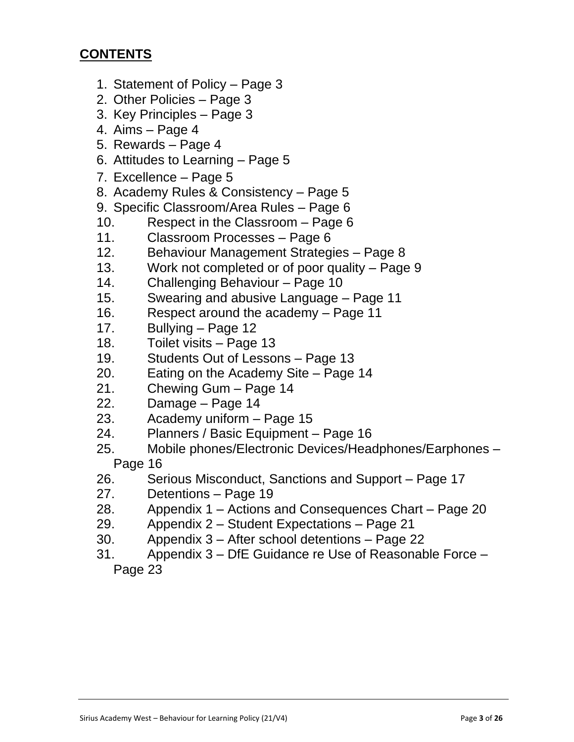# **CONTENTS**

- 1. Statement of Policy Page 3
- 2. Other Policies Page 3
- 3. Key Principles Page 3
- 4. Aims Page 4
- 5. Rewards Page 4
- 6. Attitudes to Learning Page 5
- 7. Excellence Page 5
- 8. Academy Rules & Consistency Page 5
- 9. Specific Classroom/Area Rules Page 6
- 10. Respect in the Classroom Page 6
- 11. Classroom Processes Page 6
- 12. Behaviour Management Strategies Page 8
- 13. Work not completed or of poor quality Page 9
- 14. Challenging Behaviour Page 10
- 15. Swearing and abusive Language Page 11
- 16. Respect around the academy Page 11
- 17. Bullying Page 12
- 18. Toilet visits Page 13
- 19. Students Out of Lessons Page 13
- 20. Eating on the Academy Site Page 14
- 21. Chewing Gum Page 14
- 22. Damage Page 14
- 23. Academy uniform Page 15
- 24. Planners / Basic Equipment Page 16
- 25. Mobile phones/Electronic Devices/Headphones/Earphones Page 16
- 26. Serious Misconduct, Sanctions and Support Page 17
- 27. Detentions Page 19
- 28. Appendix 1 Actions and Consequences Chart Page 20
- 29. Appendix 2 Student Expectations Page 21
- 30. Appendix 3 After school detentions Page 22
- 31. Appendix 3 DfE Guidance re Use of Reasonable Force Page 23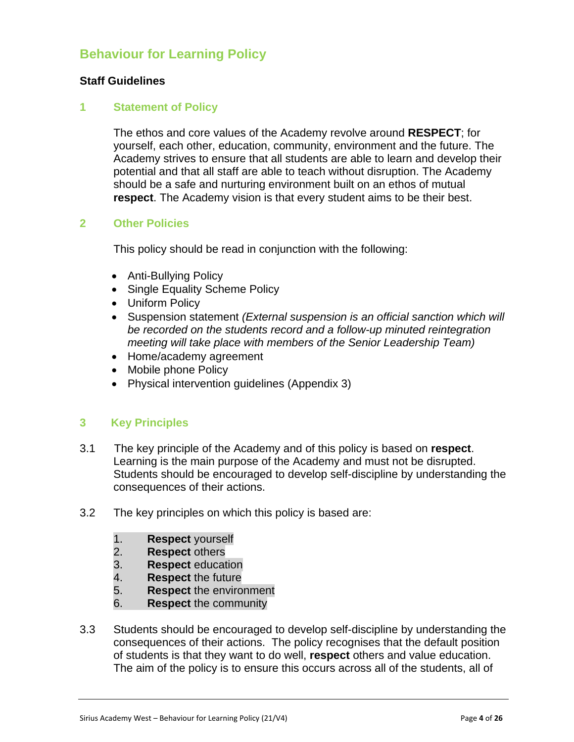# **Behaviour for Learning Policy**

## **Staff Guidelines**

#### **1 Statement of Policy**

The ethos and core values of the Academy revolve around **RESPECT**; for yourself, each other, education, community, environment and the future. The Academy strives to ensure that all students are able to learn and develop their potential and that all staff are able to teach without disruption. The Academy should be a safe and nurturing environment built on an ethos of mutual **respect**. The Academy vision is that every student aims to be their best.

## **2 Other Policies**

This policy should be read in conjunction with the following:

- Anti-Bullying Policy
- Single Equality Scheme Policy
- Uniform Policy
- Suspension statement *(External suspension is an official sanction which will be recorded on the students record and a follow-up minuted reintegration meeting will take place with members of the Senior Leadership Team)*
- Home/academy agreement
- Mobile phone Policy
- Physical intervention guidelines (Appendix 3)

## **3 Key Principles**

- 3.1 The key principle of the Academy and of this policy is based on **respect**. Learning is the main purpose of the Academy and must not be disrupted. Students should be encouraged to develop self-discipline by understanding the consequences of their actions.
- 3.2 The key principles on which this policy is based are:
	- 1. **Respect** yourself
	- 2. **Respect** others
	- 3. **Respect** education
	- 4. **Respect** the future
	- 5. **Respect** the environment
	- 6. **Respect** the community
- 3.3 Students should be encouraged to develop self-discipline by understanding the consequences of their actions. The policy recognises that the default position of students is that they want to do well, **respect** others and value education. The aim of the policy is to ensure this occurs across all of the students, all of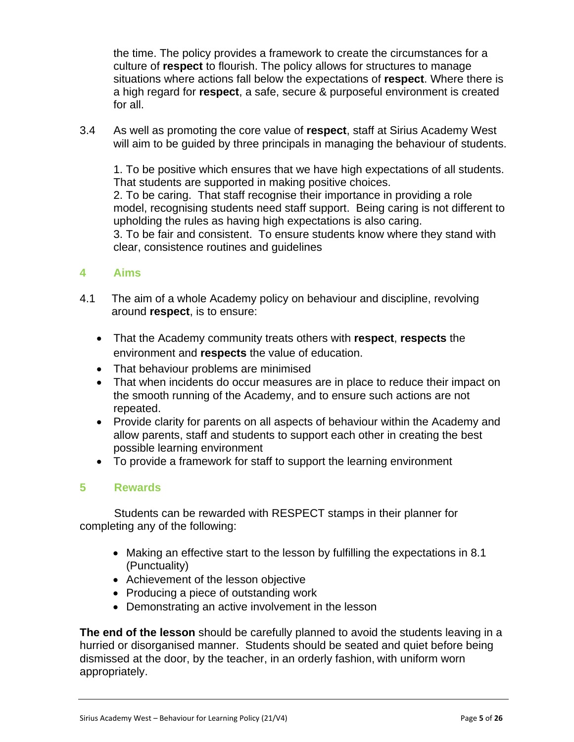the time. The policy provides a framework to create the circumstances for a culture of **respect** to flourish. The policy allows for structures to manage situations where actions fall below the expectations of **respect**. Where there is a high regard for **respect**, a safe, secure & purposeful environment is created for all.

3.4 As well as promoting the core value of **respect**, staff at Sirius Academy West will aim to be guided by three principals in managing the behaviour of students.

1. To be positive which ensures that we have high expectations of all students. That students are supported in making positive choices.

2. To be caring. That staff recognise their importance in providing a role model, recognising students need staff support. Being caring is not different to upholding the rules as having high expectations is also caring.

3. To be fair and consistent. To ensure students know where they stand with clear, consistence routines and guidelines

## **4 Aims**

- 4.1 The aim of a whole Academy policy on behaviour and discipline, revolving around **respect**, is to ensure:
	- That the Academy community treats others with **respect**, **respects** the environment and **respects** the value of education.
	- That behaviour problems are minimised
	- That when incidents do occur measures are in place to reduce their impact on the smooth running of the Academy, and to ensure such actions are not repeated.
	- Provide clarity for parents on all aspects of behaviour within the Academy and allow parents, staff and students to support each other in creating the best possible learning environment
	- To provide a framework for staff to support the learning environment

## **5 Rewards**

 Students can be rewarded with RESPECT stamps in their planner for completing any of the following:

- Making an effective start to the lesson by fulfilling the expectations in 8.1 (Punctuality)
- Achievement of the lesson objective
- Producing a piece of outstanding work
- Demonstrating an active involvement in the lesson

**The end of the lesson** should be carefully planned to avoid the students leaving in a hurried or disorganised manner. Students should be seated and quiet before being dismissed at the door, by the teacher, in an orderly fashion, with uniform worn appropriately.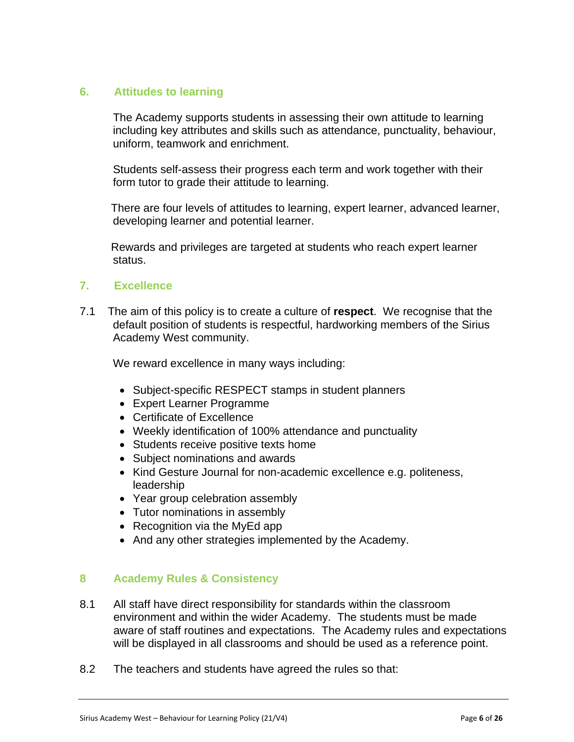## **6. Attitudes to learning**

The Academy supports students in assessing their own attitude to learning including key attributes and skills such as attendance, punctuality, behaviour, uniform, teamwork and enrichment.

Students self-assess their progress each term and work together with their form tutor to grade their attitude to learning.

 There are four levels of attitudes to learning, expert learner, advanced learner, developing learner and potential learner.

 Rewards and privileges are targeted at students who reach expert learner status.

## **7. Excellence**

7.1 The aim of this policy is to create a culture of **respect**. We recognise that the default position of students is respectful, hardworking members of the Sirius Academy West community.

We reward excellence in many ways including:

- Subject-specific RESPECT stamps in student planners
- Expert Learner Programme
- Certificate of Excellence
- Weekly identification of 100% attendance and punctuality
- Students receive positive texts home
- Subject nominations and awards
- Kind Gesture Journal for non-academic excellence e.g. politeness, leadership
- Year group celebration assembly
- Tutor nominations in assembly
- Recognition via the MyEd app
- And any other strategies implemented by the Academy.

## **8 Academy Rules & Consistency**

- 8.1 All staff have direct responsibility for standards within the classroom environment and within the wider Academy. The students must be made aware of staff routines and expectations. The Academy rules and expectations will be displayed in all classrooms and should be used as a reference point.
- 8.2 The teachers and students have agreed the rules so that: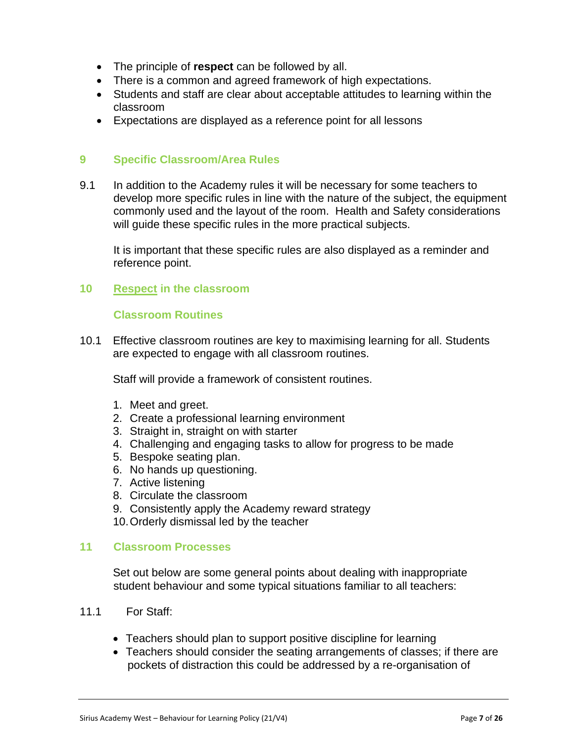- The principle of **respect** can be followed by all.
- There is a common and agreed framework of high expectations.
- Students and staff are clear about acceptable attitudes to learning within the classroom
- Expectations are displayed as a reference point for all lessons

#### **9 Specific Classroom/Area Rules**

9.1 In addition to the Academy rules it will be necessary for some teachers to develop more specific rules in line with the nature of the subject, the equipment commonly used and the layout of the room. Health and Safety considerations will guide these specific rules in the more practical subjects.

It is important that these specific rules are also displayed as a reminder and reference point.

#### **10 Respect in the classroom**

#### **Classroom Routines**

10.1 Effective classroom routines are key to maximising learning for all. Students are expected to engage with all classroom routines.

Staff will provide a framework of consistent routines.

- 1. Meet and greet.
- 2. Create a professional learning environment
- 3. Straight in, straight on with starter
- 4. Challenging and engaging tasks to allow for progress to be made
- 5. Bespoke seating plan.
- 6. No hands up questioning.
- 7. Active listening
- 8. Circulate the classroom
- 9. Consistently apply the Academy reward strategy
- 10.Orderly dismissal led by the teacher

#### **11 Classroom Processes**

Set out below are some general points about dealing with inappropriate student behaviour and some typical situations familiar to all teachers:

- 11.1 For Staff:
	- Teachers should plan to support positive discipline for learning
	- Teachers should consider the seating arrangements of classes; if there are pockets of distraction this could be addressed by a re-organisation of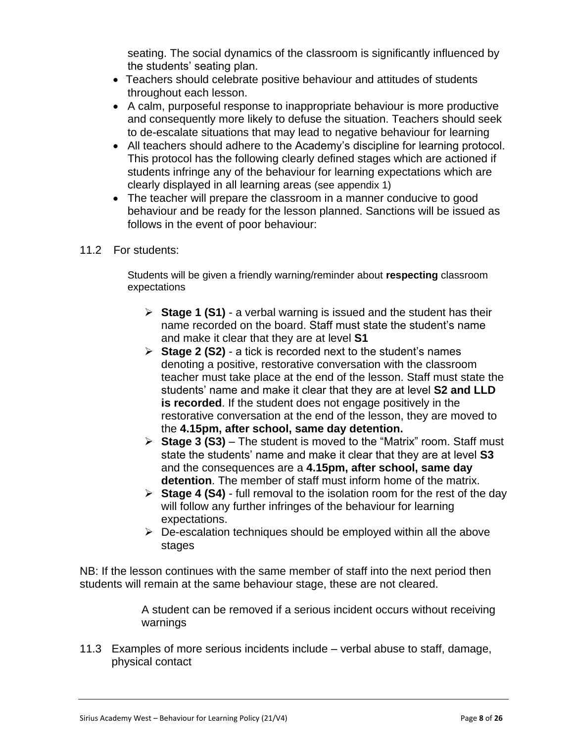seating. The social dynamics of the classroom is significantly influenced by the students' seating plan.

- Teachers should celebrate positive behaviour and attitudes of students throughout each lesson.
- A calm, purposeful response to inappropriate behaviour is more productive and consequently more likely to defuse the situation. Teachers should seek to de-escalate situations that may lead to negative behaviour for learning
- All teachers should adhere to the Academy's discipline for learning protocol. This protocol has the following clearly defined stages which are actioned if students infringe any of the behaviour for learning expectations which are clearly displayed in all learning areas (see appendix 1)
- The teacher will prepare the classroom in a manner conducive to good behaviour and be ready for the lesson planned. Sanctions will be issued as follows in the event of poor behaviour:
- 11.2 For students:

Students will be given a friendly warning/reminder about **respecting** classroom expectations

- **Stage 1 (S1)** a verbal warning is issued and the student has their name recorded on the board. Staff must state the student's name and make it clear that they are at level **S1**
- **Stage 2 (S2)** a tick is recorded next to the student's names denoting a positive, restorative conversation with the classroom teacher must take place at the end of the lesson. Staff must state the students' name and make it clear that they are at level **S2 and LLD is recorded**. If the student does not engage positively in the restorative conversation at the end of the lesson, they are moved to the **4.15pm, after school, same day detention.**
- **Stage 3 (S3)** The student is moved to the "Matrix" room. Staff must state the students' name and make it clear that they are at level **S3** and the consequences are a **4.15pm, after school, same day detention**. The member of staff must inform home of the matrix.
- **Stage 4 (S4)** full removal to the isolation room for the rest of the day will follow any further infringes of the behaviour for learning expectations.
- $\triangleright$  De-escalation techniques should be employed within all the above stages

NB: If the lesson continues with the same member of staff into the next period then students will remain at the same behaviour stage, these are not cleared.

> A student can be removed if a serious incident occurs without receiving warnings

11.3 Examples of more serious incidents include – verbal abuse to staff, damage, physical contact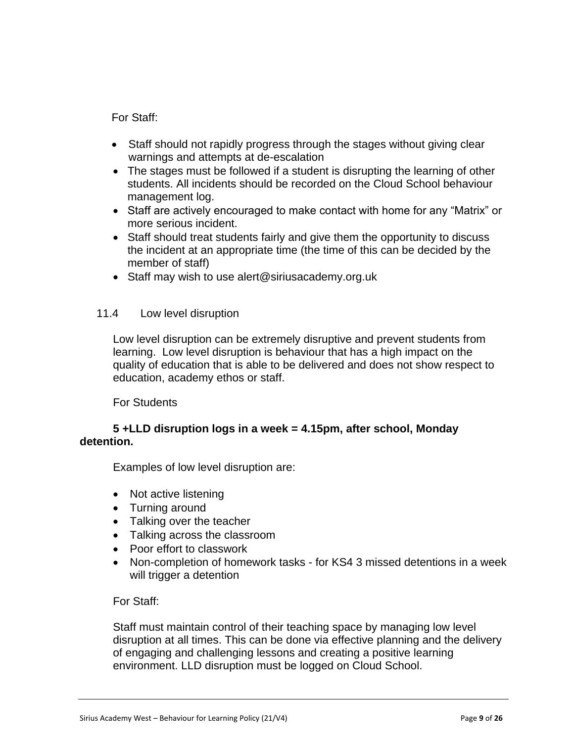For Staff:

- Staff should not rapidly progress through the stages without giving clear warnings and attempts at de-escalation
- The stages must be followed if a student is disrupting the learning of other students. All incidents should be recorded on the Cloud School behaviour management log.
- Staff are actively encouraged to make contact with home for any "Matrix" or more serious incident.
- Staff should treat students fairly and give them the opportunity to discuss the incident at an appropriate time (the time of this can be decided by the member of staff)
- Staff may wish to use alert@siriusacademy.org.uk

## 11.4 Low level disruption

Low level disruption can be extremely disruptive and prevent students from learning. Low level disruption is behaviour that has a high impact on the quality of education that is able to be delivered and does not show respect to education, academy ethos or staff.

For Students

## **5 +LLD disruption logs in a week = 4.15pm, after school, Monday detention.**

Examples of low level disruption are:

- Not active listening
- Turning around
- Talking over the teacher
- Talking across the classroom
- Poor effort to classwork
- Non-completion of homework tasks for KS4 3 missed detentions in a week will trigger a detention

## For Staff:

Staff must maintain control of their teaching space by managing low level disruption at all times. This can be done via effective planning and the delivery of engaging and challenging lessons and creating a positive learning environment. LLD disruption must be logged on Cloud School.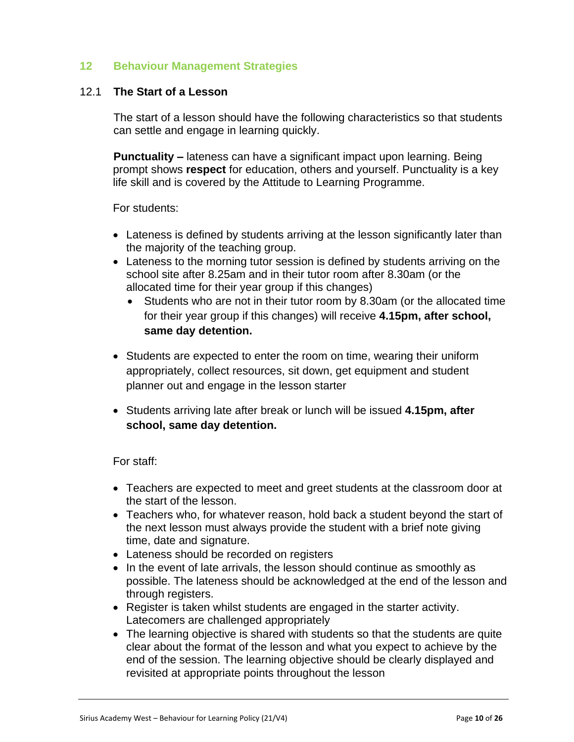## **12 Behaviour Management Strategies**

#### 12.1 **The Start of a Lesson**

The start of a lesson should have the following characteristics so that students can settle and engage in learning quickly.

**Punctuality –** lateness can have a significant impact upon learning. Being prompt shows **respect** for education, others and yourself. Punctuality is a key life skill and is covered by the Attitude to Learning Programme.

For students:

- Lateness is defined by students arriving at the lesson significantly later than the majority of the teaching group.
- Lateness to the morning tutor session is defined by students arriving on the school site after 8.25am and in their tutor room after 8.30am (or the allocated time for their year group if this changes)
	- Students who are not in their tutor room by 8.30am (or the allocated time for their year group if this changes) will receive **4.15pm, after school, same day detention.**
- Students are expected to enter the room on time, wearing their uniform appropriately, collect resources, sit down, get equipment and student planner out and engage in the lesson starter
- Students arriving late after break or lunch will be issued **4.15pm, after school, same day detention.**

For staff:

- Teachers are expected to meet and greet students at the classroom door at the start of the lesson.
- Teachers who, for whatever reason, hold back a student beyond the start of the next lesson must always provide the student with a brief note giving time, date and signature.
- Lateness should be recorded on registers
- In the event of late arrivals, the lesson should continue as smoothly as possible. The lateness should be acknowledged at the end of the lesson and through registers.
- Register is taken whilst students are engaged in the starter activity. Latecomers are challenged appropriately
- The learning objective is shared with students so that the students are quite clear about the format of the lesson and what you expect to achieve by the end of the session. The learning objective should be clearly displayed and revisited at appropriate points throughout the lesson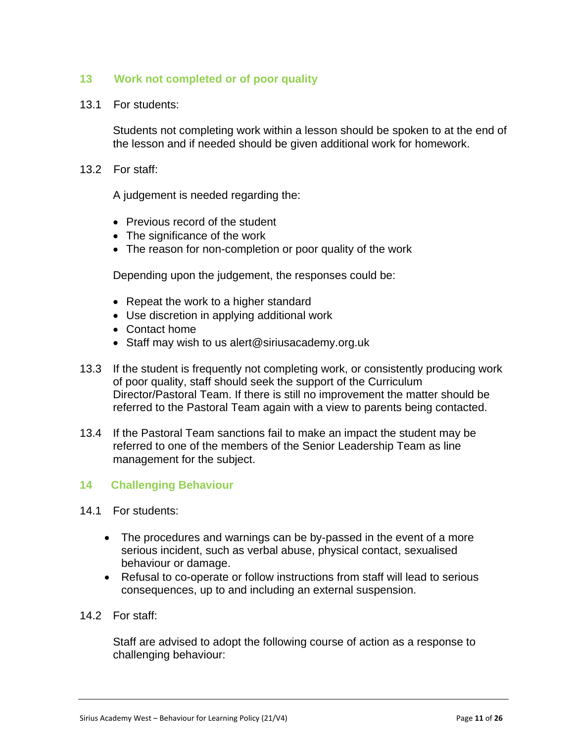## **13 Work not completed or of poor quality**

13.1 For students:

Students not completing work within a lesson should be spoken to at the end of the lesson and if needed should be given additional work for homework.

13.2 For staff:

A judgement is needed regarding the:

- Previous record of the student
- The significance of the work
- The reason for non-completion or poor quality of the work

Depending upon the judgement, the responses could be:

- Repeat the work to a higher standard
- Use discretion in applying additional work
- Contact home
- Staff may wish to us alert@siriusacademy.org.uk
- 13.3 If the student is frequently not completing work, or consistently producing work of poor quality, staff should seek the support of the Curriculum Director/Pastoral Team. If there is still no improvement the matter should be referred to the Pastoral Team again with a view to parents being contacted.
- 13.4 If the Pastoral Team sanctions fail to make an impact the student may be referred to one of the members of the Senior Leadership Team as line management for the subject.

## **14 Challenging Behaviour**

- 14.1 For students:
	- The procedures and warnings can be by-passed in the event of a more serious incident, such as verbal abuse, physical contact, sexualised behaviour or damage.
	- Refusal to co-operate or follow instructions from staff will lead to serious consequences, up to and including an external suspension.
- 14.2 For staff:

Staff are advised to adopt the following course of action as a response to challenging behaviour: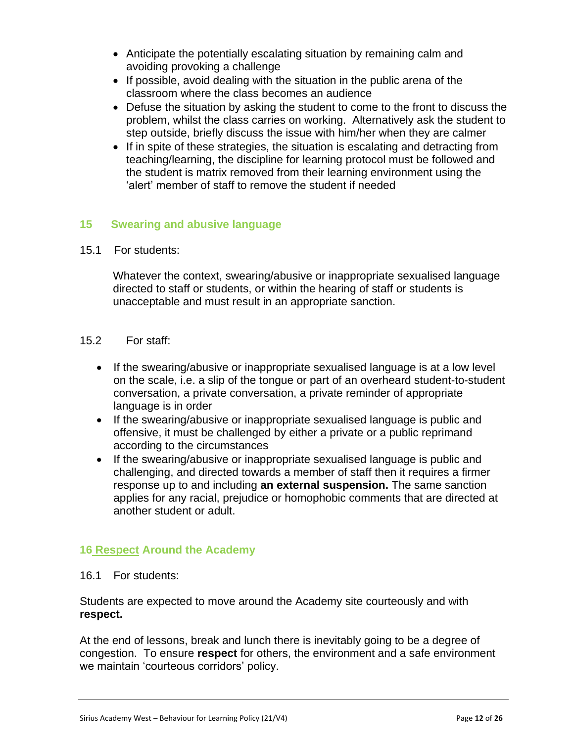- Anticipate the potentially escalating situation by remaining calm and avoiding provoking a challenge
- If possible, avoid dealing with the situation in the public arena of the classroom where the class becomes an audience
- Defuse the situation by asking the student to come to the front to discuss the problem, whilst the class carries on working. Alternatively ask the student to step outside, briefly discuss the issue with him/her when they are calmer
- If in spite of these strategies, the situation is escalating and detracting from teaching/learning, the discipline for learning protocol must be followed and the student is matrix removed from their learning environment using the 'alert' member of staff to remove the student if needed

## **15 Swearing and abusive language**

15.1 For students:

Whatever the context, swearing/abusive or inappropriate sexualised language directed to staff or students, or within the hearing of staff or students is unacceptable and must result in an appropriate sanction.

- 15.2 For staff:
	- If the swearing/abusive or inappropriate sexualised language is at a low level on the scale, i.e. a slip of the tongue or part of an overheard student-to-student conversation, a private conversation, a private reminder of appropriate language is in order
	- If the swearing/abusive or inappropriate sexualised language is public and offensive, it must be challenged by either a private or a public reprimand according to the circumstances
	- If the swearing/abusive or inappropriate sexualised language is public and challenging, and directed towards a member of staff then it requires a firmer response up to and including **an external suspension.** The same sanction applies for any racial, prejudice or homophobic comments that are directed at another student or adult.

## **16 Respect Around the Academy**

16.1 For students:

Students are expected to move around the Academy site courteously and with **respect.**

At the end of lessons, break and lunch there is inevitably going to be a degree of congestion. To ensure **respect** for others, the environment and a safe environment we maintain 'courteous corridors' policy.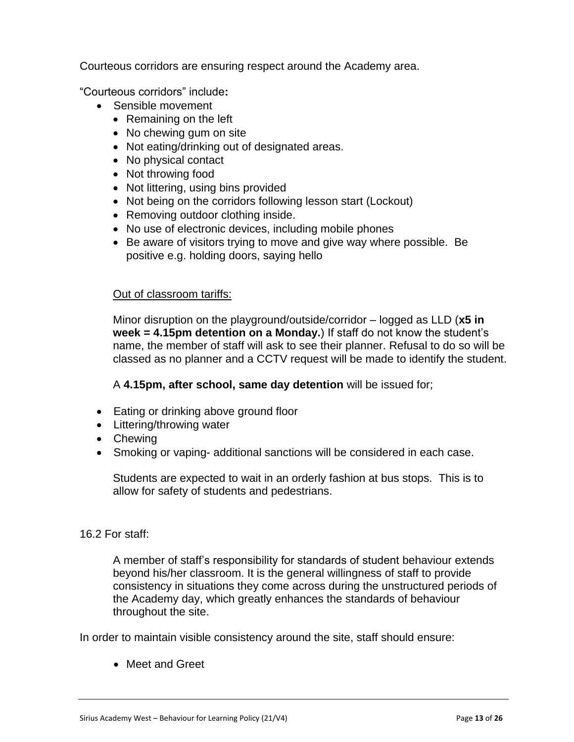Courteous corridors are ensuring respect around the Academy area.

"Courteous corridors" include**:** 

- Sensible movement
	- Remaining on the left
	- No chewing gum on site
	- Not eating/drinking out of designated areas.
	- No physical contact
	- Not throwing food
	- Not littering, using bins provided
	- Not being on the corridors following lesson start (Lockout)
	- Removing outdoor clothing inside.
	- No use of electronic devices, including mobile phones
	- Be aware of visitors trying to move and give way where possible. Be positive e.g. holding doors, saying hello

#### Out of classroom tariffs:

Minor disruption on the playground/outside/corridor – logged as LLD (**x5 in week = 4.15pm detention on a Monday.**) If staff do not know the student's name, the member of staff will ask to see their planner. Refusal to do so will be classed as no planner and a CCTV request will be made to identify the student.

A **4.15pm, after school, same day detention** will be issued for;

- Eating or drinking above ground floor
- Littering/throwing water
- Chewing
- Smoking or vaping- additional sanctions will be considered in each case.

Students are expected to wait in an orderly fashion at bus stops. This is to allow for safety of students and pedestrians.

#### 16.2 For staff:

A member of staff's responsibility for standards of student behaviour extends beyond his/her classroom. It is the general willingness of staff to provide consistency in situations they come across during the unstructured periods of the Academy day, which greatly enhances the standards of behaviour throughout the site.

In order to maintain visible consistency around the site, staff should ensure:

• Meet and Greet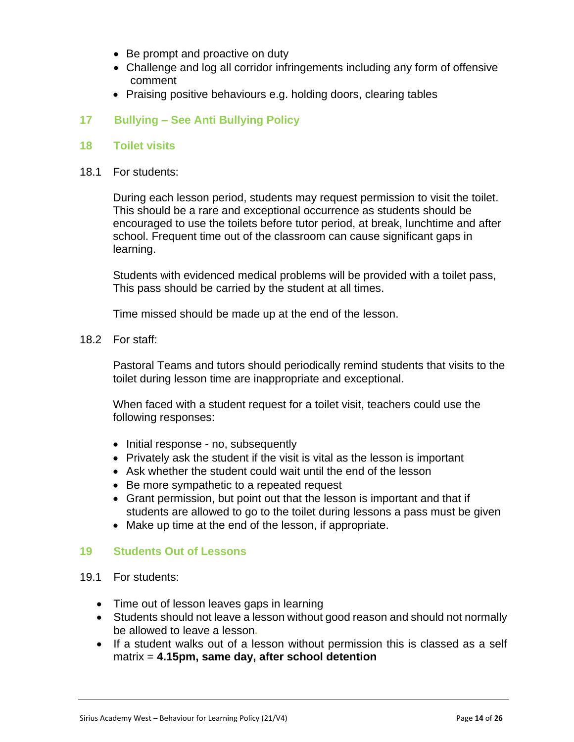- Be prompt and proactive on duty
- Challenge and log all corridor infringements including any form of offensive comment
- Praising positive behaviours e.g. holding doors, clearing tables

## **17 Bullying – See Anti Bullying Policy**

#### **18 Toilet visits**

18.1 For students:

During each lesson period, students may request permission to visit the toilet. This should be a rare and exceptional occurrence as students should be encouraged to use the toilets before tutor period, at break, lunchtime and after school. Frequent time out of the classroom can cause significant gaps in learning.

Students with evidenced medical problems will be provided with a toilet pass, This pass should be carried by the student at all times.

Time missed should be made up at the end of the lesson.

18.2 For staff:

Pastoral Teams and tutors should periodically remind students that visits to the toilet during lesson time are inappropriate and exceptional.

When faced with a student request for a toilet visit, teachers could use the following responses:

- Initial response no, subsequently
- Privately ask the student if the visit is vital as the lesson is important
- Ask whether the student could wait until the end of the lesson
- Be more sympathetic to a repeated request
- Grant permission, but point out that the lesson is important and that if students are allowed to go to the toilet during lessons a pass must be given
- Make up time at the end of the lesson, if appropriate.

#### **19 Students Out of Lessons**

- 19.1 For students:
	- Time out of lesson leaves gaps in learning
	- Students should not leave a lesson without good reason and should not normally be allowed to leave a lesson**.**
	- If a student walks out of a lesson without permission this is classed as a self matrix = **4.15pm, same day, after school detention**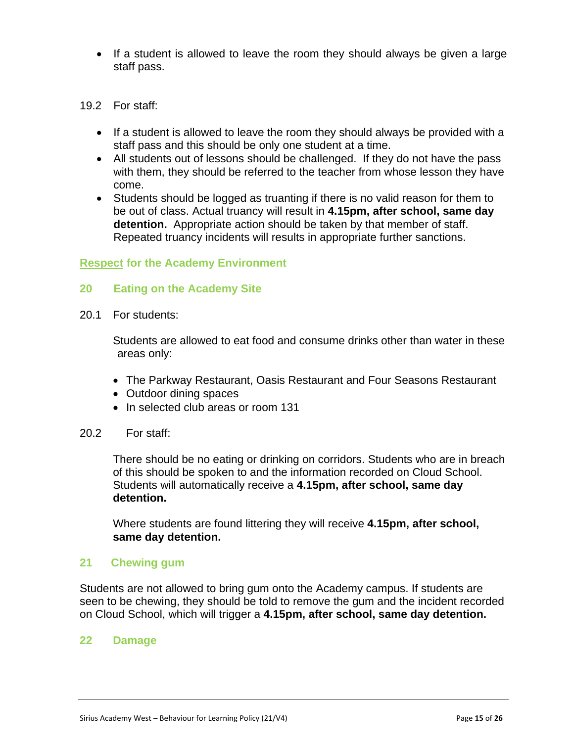- If a student is allowed to leave the room they should always be given a large staff pass.
- 19.2 For staff:
	- If a student is allowed to leave the room they should always be provided with a staff pass and this should be only one student at a time.
	- All students out of lessons should be challenged. If they do not have the pass with them, they should be referred to the teacher from whose lesson they have come.
	- Students should be logged as truanting if there is no valid reason for them to be out of class. Actual truancy will result in **4.15pm, after school, same day detention.** Appropriate action should be taken by that member of staff. Repeated truancy incidents will results in appropriate further sanctions.

#### **Respect for the Academy Environment**

#### **20 Eating on the Academy Site**

20.1 For students:

Students are allowed to eat food and consume drinks other than water in these areas only:

- The Parkway Restaurant, Oasis Restaurant and Four Seasons Restaurant
- Outdoor dining spaces
- In selected club areas or room 131
- 20.2 For staff:

There should be no eating or drinking on corridors. Students who are in breach of this should be spoken to and the information recorded on Cloud School. Students will automatically receive a **4.15pm, after school, same day detention.**

Where students are found littering they will receive **4.15pm, after school, same day detention.**

#### **21 Chewing gum**

Students are not allowed to bring gum onto the Academy campus. If students are seen to be chewing, they should be told to remove the gum and the incident recorded on Cloud School, which will trigger a **4.15pm, after school, same day detention.**

#### **22 Damage**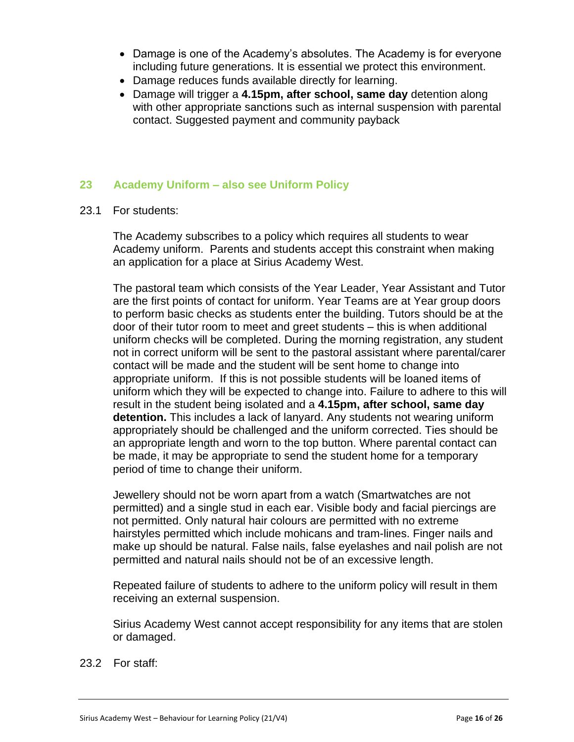- Damage is one of the Academy's absolutes. The Academy is for everyone including future generations. It is essential we protect this environment.
- Damage reduces funds available directly for learning.
- Damage will trigger a **4.15pm, after school, same day** detention along with other appropriate sanctions such as internal suspension with parental contact. Suggested payment and community payback

## **23 Academy Uniform – also see Uniform Policy**

23.1 For students:

The Academy subscribes to a policy which requires all students to wear Academy uniform. Parents and students accept this constraint when making an application for a place at Sirius Academy West.

The pastoral team which consists of the Year Leader, Year Assistant and Tutor are the first points of contact for uniform. Year Teams are at Year group doors to perform basic checks as students enter the building. Tutors should be at the door of their tutor room to meet and greet students – this is when additional uniform checks will be completed. During the morning registration, any student not in correct uniform will be sent to the pastoral assistant where parental/carer contact will be made and the student will be sent home to change into appropriate uniform. If this is not possible students will be loaned items of uniform which they will be expected to change into. Failure to adhere to this will result in the student being isolated and a **4.15pm, after school, same day detention.** This includes a lack of lanyard. Any students not wearing uniform appropriately should be challenged and the uniform corrected. Ties should be an appropriate length and worn to the top button. Where parental contact can be made, it may be appropriate to send the student home for a temporary period of time to change their uniform.

Jewellery should not be worn apart from a watch (Smartwatches are not permitted) and a single stud in each ear. Visible body and facial piercings are not permitted. Only natural hair colours are permitted with no extreme hairstyles permitted which include mohicans and tram-lines. Finger nails and make up should be natural. False nails, false eyelashes and nail polish are not permitted and natural nails should not be of an excessive length.

Repeated failure of students to adhere to the uniform policy will result in them receiving an external suspension.

Sirius Academy West cannot accept responsibility for any items that are stolen or damaged.

23.2 For staff: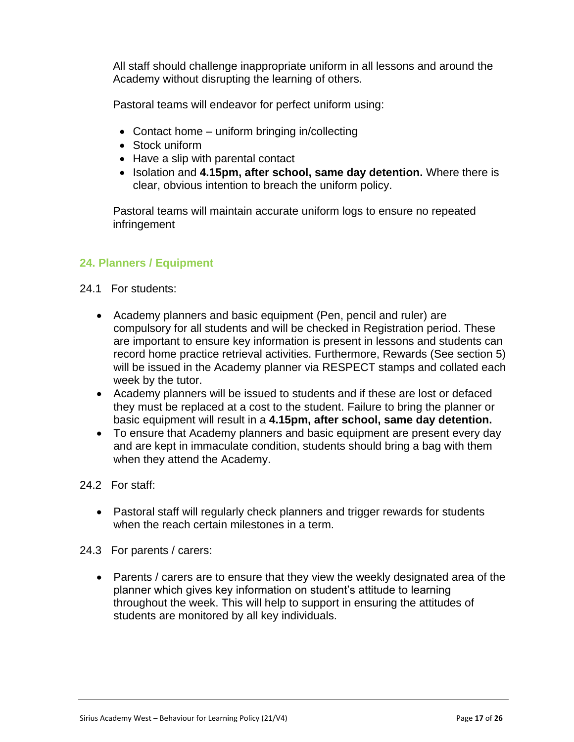All staff should challenge inappropriate uniform in all lessons and around the Academy without disrupting the learning of others.

Pastoral teams will endeavor for perfect uniform using:

- Contact home uniform bringing in/collecting
- Stock uniform
- Have a slip with parental contact
- Isolation and **4.15pm, after school, same day detention.** Where there is clear, obvious intention to breach the uniform policy.

Pastoral teams will maintain accurate uniform logs to ensure no repeated infringement

## **24. Planners / Equipment**

- 24.1 For students:
	- Academy planners and basic equipment (Pen, pencil and ruler) are compulsory for all students and will be checked in Registration period. These are important to ensure key information is present in lessons and students can record home practice retrieval activities. Furthermore, Rewards (See section 5) will be issued in the Academy planner via RESPECT stamps and collated each week by the tutor.
	- Academy planners will be issued to students and if these are lost or defaced they must be replaced at a cost to the student. Failure to bring the planner or basic equipment will result in a **4.15pm, after school, same day detention.**
	- To ensure that Academy planners and basic equipment are present every day and are kept in immaculate condition, students should bring a bag with them when they attend the Academy.
- 24.2 For staff:
	- Pastoral staff will regularly check planners and trigger rewards for students when the reach certain milestones in a term.
- 24.3 For parents / carers:
	- Parents / carers are to ensure that they view the weekly designated area of the planner which gives key information on student's attitude to learning throughout the week. This will help to support in ensuring the attitudes of students are monitored by all key individuals.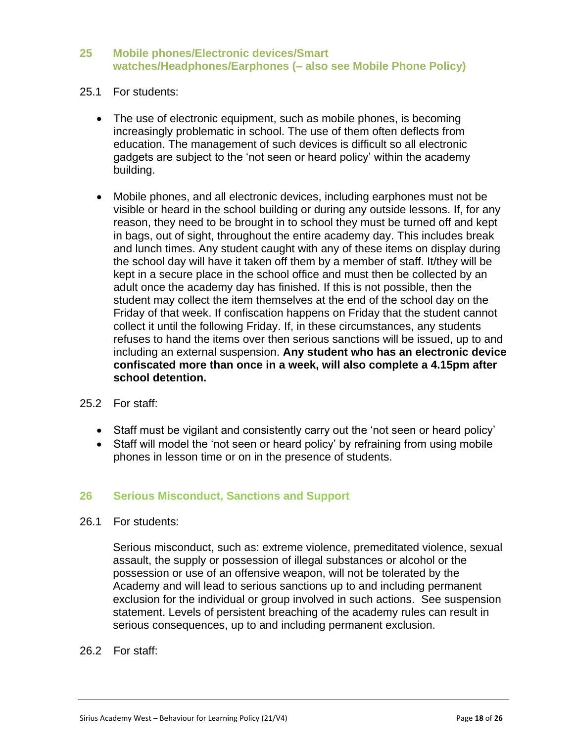### **25 Mobile phones/Electronic devices/Smart watches/Headphones/Earphones (– also see Mobile Phone Policy)**

- 25.1 For students:
	- The use of electronic equipment, such as mobile phones, is becoming increasingly problematic in school. The use of them often deflects from education. The management of such devices is difficult so all electronic gadgets are subject to the 'not seen or heard policy' within the academy building.
	- Mobile phones, and all electronic devices, including earphones must not be visible or heard in the school building or during any outside lessons. If, for any reason, they need to be brought in to school they must be turned off and kept in bags, out of sight, throughout the entire academy day. This includes break and lunch times. Any student caught with any of these items on display during the school day will have it taken off them by a member of staff. It/they will be kept in a secure place in the school office and must then be collected by an adult once the academy day has finished. If this is not possible, then the student may collect the item themselves at the end of the school day on the Friday of that week. If confiscation happens on Friday that the student cannot collect it until the following Friday. If, in these circumstances, any students refuses to hand the items over then serious sanctions will be issued, up to and including an external suspension. **Any student who has an electronic device confiscated more than once in a week, will also complete a 4.15pm after school detention.**
- 25.2 For staff:
	- Staff must be vigilant and consistently carry out the 'not seen or heard policy'
	- Staff will model the 'not seen or heard policy' by refraining from using mobile phones in lesson time or on in the presence of students.

#### **26 Serious Misconduct, Sanctions and Support**

26.1 For students:

Serious misconduct, such as: extreme violence, premeditated violence, sexual assault, the supply or possession of illegal substances or alcohol or the possession or use of an offensive weapon, will not be tolerated by the Academy and will lead to serious sanctions up to and including permanent exclusion for the individual or group involved in such actions. See suspension statement. Levels of persistent breaching of the academy rules can result in serious consequences, up to and including permanent exclusion.

26.2 For staff: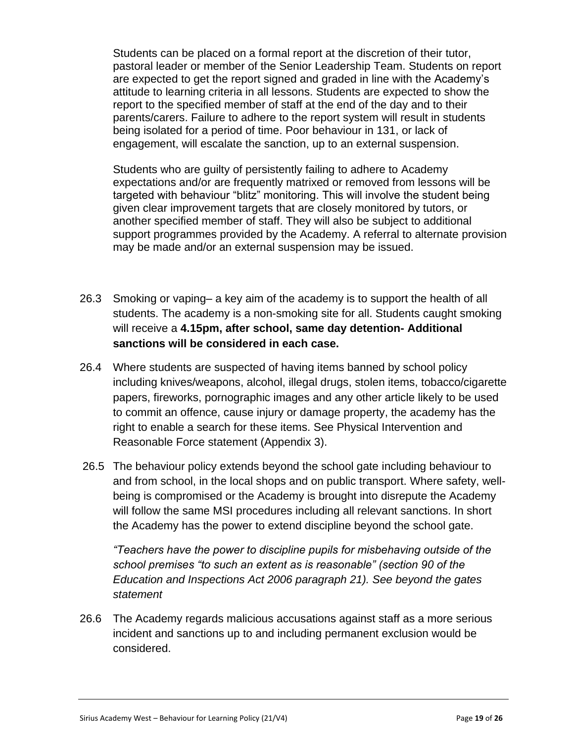Students can be placed on a formal report at the discretion of their tutor, pastoral leader or member of the Senior Leadership Team. Students on report are expected to get the report signed and graded in line with the Academy's attitude to learning criteria in all lessons. Students are expected to show the report to the specified member of staff at the end of the day and to their parents/carers. Failure to adhere to the report system will result in students being isolated for a period of time. Poor behaviour in 131, or lack of engagement, will escalate the sanction, up to an external suspension.

Students who are guilty of persistently failing to adhere to Academy expectations and/or are frequently matrixed or removed from lessons will be targeted with behaviour "blitz" monitoring. This will involve the student being given clear improvement targets that are closely monitored by tutors, or another specified member of staff. They will also be subject to additional support programmes provided by the Academy. A referral to alternate provision may be made and/or an external suspension may be issued.

- 26.3 Smoking or vaping– a key aim of the academy is to support the health of all students. The academy is a non-smoking site for all. Students caught smoking will receive a **4.15pm, after school, same day detention- Additional sanctions will be considered in each case.**
- 26.4 Where students are suspected of having items banned by school policy including knives/weapons, alcohol, illegal drugs, stolen items, tobacco/cigarette papers, fireworks, pornographic images and any other article likely to be used to commit an offence, cause injury or damage property, the academy has the right to enable a search for these items. See Physical Intervention and Reasonable Force statement (Appendix 3).
- 26.5 The behaviour policy extends beyond the school gate including behaviour to and from school, in the local shops and on public transport. Where safety, wellbeing is compromised or the Academy is brought into disrepute the Academy will follow the same MSI procedures including all relevant sanctions. In short the Academy has the power to extend discipline beyond the school gate.

*"Teachers have the power to discipline pupils for misbehaving outside of the school premises "to such an extent as is reasonable" (section 90 of the Education and Inspections Act 2006 paragraph 21). See beyond the gates statement*

26.6 The Academy regards malicious accusations against staff as a more serious incident and sanctions up to and including permanent exclusion would be considered.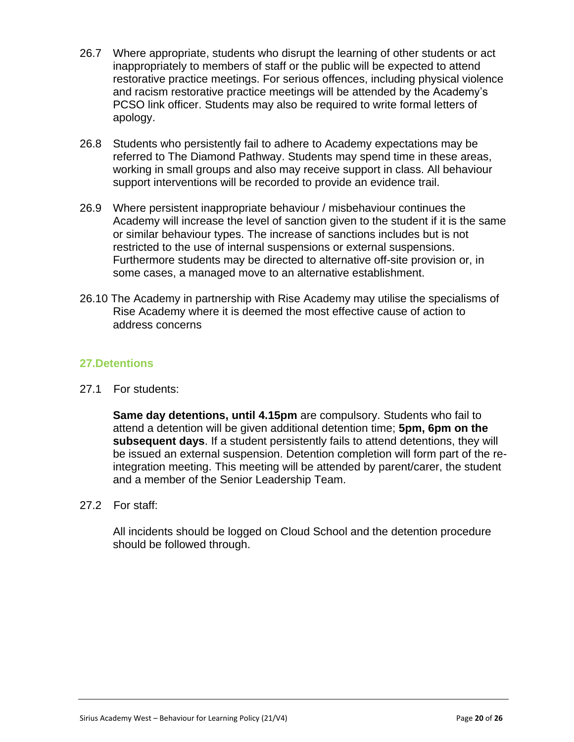- 26.7 Where appropriate, students who disrupt the learning of other students or act inappropriately to members of staff or the public will be expected to attend restorative practice meetings. For serious offences, including physical violence and racism restorative practice meetings will be attended by the Academy's PCSO link officer. Students may also be required to write formal letters of apology.
- 26.8 Students who persistently fail to adhere to Academy expectations may be referred to The Diamond Pathway. Students may spend time in these areas, working in small groups and also may receive support in class. All behaviour support interventions will be recorded to provide an evidence trail.
- 26.9 Where persistent inappropriate behaviour / misbehaviour continues the Academy will increase the level of sanction given to the student if it is the same or similar behaviour types. The increase of sanctions includes but is not restricted to the use of internal suspensions or external suspensions. Furthermore students may be directed to alternative off-site provision or, in some cases, a managed move to an alternative establishment.
- 26.10 The Academy in partnership with Rise Academy may utilise the specialisms of Rise Academy where it is deemed the most effective cause of action to address concerns

## **27.Detentions**

27.1 For students:

**Same day detentions, until 4.15pm** are compulsory. Students who fail to attend a detention will be given additional detention time; **5pm, 6pm on the subsequent days**. If a student persistently fails to attend detentions, they will be issued an external suspension. Detention completion will form part of the reintegration meeting. This meeting will be attended by parent/carer, the student and a member of the Senior Leadership Team.

27.2 For staff:

All incidents should be logged on Cloud School and the detention procedure should be followed through.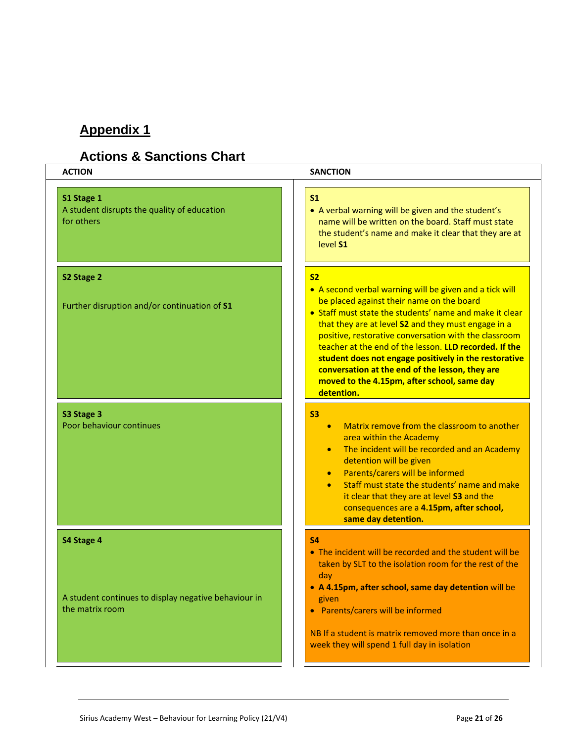# **Appendix 1**

# **Actions & Sanctions Chart**

| <b>ACTION</b>                                                           | <b>SANCTION</b>                                                                                                                                                                                                                                                                                                                                                                                                                                                                                                    |
|-------------------------------------------------------------------------|--------------------------------------------------------------------------------------------------------------------------------------------------------------------------------------------------------------------------------------------------------------------------------------------------------------------------------------------------------------------------------------------------------------------------------------------------------------------------------------------------------------------|
| S1 Stage 1<br>A student disrupts the quality of education<br>for others | S <sub>1</sub><br>• A verbal warning will be given and the student's<br>name will be written on the board. Staff must state<br>the student's name and make it clear that they are at<br>level S1                                                                                                                                                                                                                                                                                                                   |
| S2 Stage 2                                                              | S <sub>2</sub>                                                                                                                                                                                                                                                                                                                                                                                                                                                                                                     |
| Further disruption and/or continuation of S1                            | • A second verbal warning will be given and a tick will<br>be placed against their name on the board<br>• Staff must state the students' name and make it clear<br>that they are at level S2 and they must engage in a<br>positive, restorative conversation with the classroom<br>teacher at the end of the lesson. LLD recorded. If the<br>student does not engage positively in the restorative<br>conversation at the end of the lesson, they are<br>moved to the 4.15pm, after school, same day<br>detention. |
| S3 Stage 3<br>Poor behaviour continues                                  | <b>S3</b><br>Matrix remove from the classroom to another<br>$\bullet$<br>area within the Academy<br>The incident will be recorded and an Academy<br>$\bullet$<br>detention will be given<br>Parents/carers will be informed<br>$\bullet$<br>Staff must state the students' name and make<br>it clear that they are at level S3 and the<br>consequences are a 4.15pm, after school,<br>same day detention.                                                                                                          |
| S4 Stage 4                                                              | <b>S4</b>                                                                                                                                                                                                                                                                                                                                                                                                                                                                                                          |
| A student continues to display negative behaviour in<br>the matrix room | • The incident will be recorded and the student will be<br>taken by SLT to the isolation room for the rest of the<br>day<br>• A 4.15pm, after school, same day detention will be<br>given<br>• Parents/carers will be informed<br>NB If a student is matrix removed more than once in a<br>week they will spend 1 full day in isolation                                                                                                                                                                            |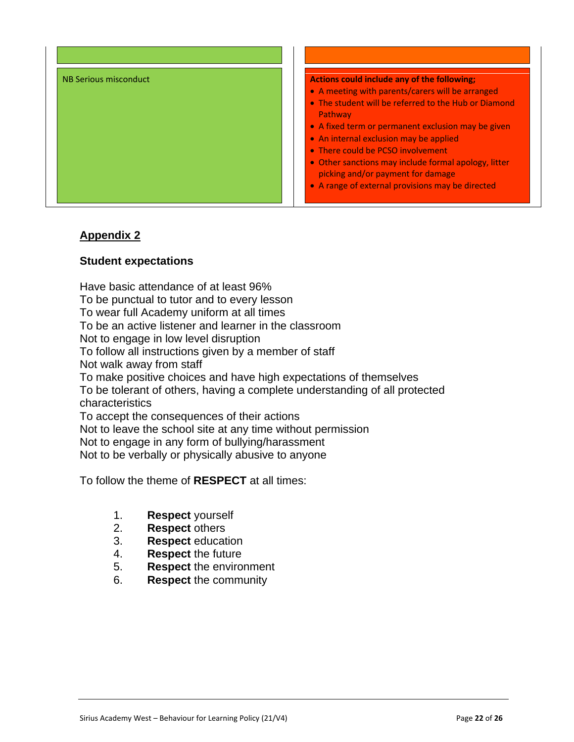

## **Appendix 2**

#### **Student expectations**

Have basic attendance of at least 96% To be punctual to tutor and to every lesson To wear full Academy uniform at all times To be an active listener and learner in the classroom Not to engage in low level disruption To follow all instructions given by a member of staff Not walk away from staff To make positive choices and have high expectations of themselves To be tolerant of others, having a complete understanding of all protected characteristics To accept the consequences of their actions Not to leave the school site at any time without permission Not to engage in any form of bullying/harassment Not to be verbally or physically abusive to anyone

To follow the theme of **RESPECT** at all times:

- - 1. **Respect** yourself
	- 2. **Respect** others
	- 3. **Respect** education
	- 4. **Respect** the future
	- 5. **Respect** the environment
	- 6. **Respect** the community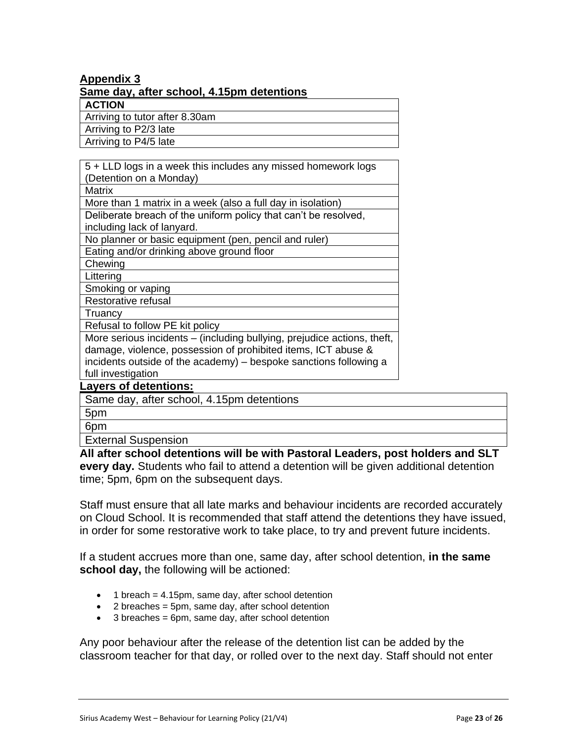#### **Appendix 3 Same day, after school, 4.15pm detentions**

**ACTION**

Arriving to tutor after 8.30am

Arriving to P2/3 late

Arriving to P4/5 late

5 + LLD logs in a week this includes any missed homework logs (Detention on a Monday) **Matrix** More than 1 matrix in a week (also a full day in isolation) Deliberate breach of the uniform policy that can't be resolved, including lack of lanyard. No planner or basic equipment (pen, pencil and ruler)

Eating and/or drinking above ground floor

Chewing

Littering

Smoking or vaping

Restorative refusal

**Truancy** 

Refusal to follow PE kit policy

More serious incidents – (including bullying, prejudice actions, theft, damage, violence, possession of prohibited items, ICT abuse & incidents outside of the academy) – bespoke sanctions following a full investigation

## **Layers of detentions:**

Same day, after school, 4.15pm detentions

5pm

6pm

External Suspension

**All after school detentions will be with Pastoral Leaders, post holders and SLT every day.** Students who fail to attend a detention will be given additional detention time; 5pm, 6pm on the subsequent days.

Staff must ensure that all late marks and behaviour incidents are recorded accurately on Cloud School. It is recommended that staff attend the detentions they have issued, in order for some restorative work to take place, to try and prevent future incidents.

If a student accrues more than one, same day, after school detention, **in the same school day,** the following will be actioned:

- $\bullet$  1 breach = 4.15pm, same day, after school detention
- 2 breaches = 5pm, same day, after school detention
- 3 breaches = 6pm, same day, after school detention

Any poor behaviour after the release of the detention list can be added by the classroom teacher for that day, or rolled over to the next day. Staff should not enter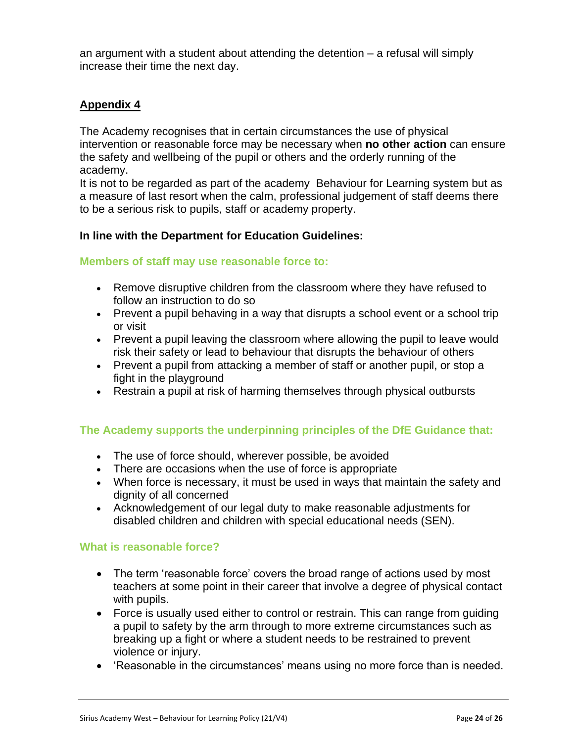an argument with a student about attending the detention – a refusal will simply increase their time the next day.

## **Appendix 4**

The Academy recognises that in certain circumstances the use of physical intervention or reasonable force may be necessary when **no other action** can ensure the safety and wellbeing of the pupil or others and the orderly running of the academy.

It is not to be regarded as part of the academy Behaviour for Learning system but as a measure of last resort when the calm, professional judgement of staff deems there to be a serious risk to pupils, staff or academy property.

## **In line with the Department for Education Guidelines:**

#### **Members of staff may use reasonable force to:**

- Remove disruptive children from the classroom where they have refused to follow an instruction to do so
- Prevent a pupil behaving in a way that disrupts a school event or a school trip or visit
- Prevent a pupil leaving the classroom where allowing the pupil to leave would risk their safety or lead to behaviour that disrupts the behaviour of others
- Prevent a pupil from attacking a member of staff or another pupil, or stop a fight in the playground
- Restrain a pupil at risk of harming themselves through physical outbursts

## **The Academy supports the underpinning principles of the DfE Guidance that:**

- The use of force should, wherever possible, be avoided
- There are occasions when the use of force is appropriate
- When force is necessary, it must be used in ways that maintain the safety and dignity of all concerned
- Acknowledgement of our legal duty to make reasonable adjustments for disabled children and children with special educational needs (SEN).

#### **What is reasonable force?**

- The term 'reasonable force' covers the broad range of actions used by most teachers at some point in their career that involve a degree of physical contact with pupils.
- Force is usually used either to control or restrain. This can range from guiding a pupil to safety by the arm through to more extreme circumstances such as breaking up a fight or where a student needs to be restrained to prevent violence or injury.
- 'Reasonable in the circumstances' means using no more force than is needed.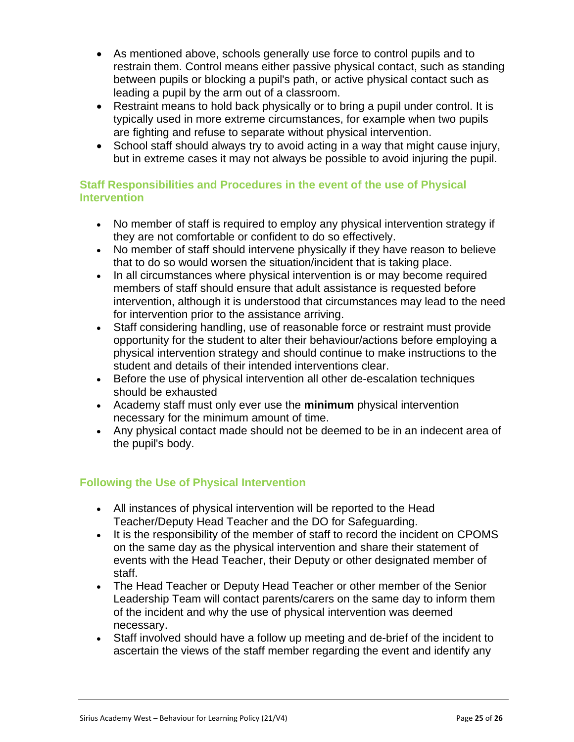- As mentioned above, schools generally use force to control pupils and to restrain them. Control means either passive physical contact, such as standing between pupils or blocking a pupil's path, or active physical contact such as leading a pupil by the arm out of a classroom.
- Restraint means to hold back physically or to bring a pupil under control. It is typically used in more extreme circumstances, for example when two pupils are fighting and refuse to separate without physical intervention.
- School staff should always try to avoid acting in a way that might cause injury, but in extreme cases it may not always be possible to avoid injuring the pupil.

## **Staff Responsibilities and Procedures in the event of the use of Physical Intervention**

- No member of staff is required to employ any physical intervention strategy if they are not comfortable or confident to do so effectively.
- No member of staff should intervene physically if they have reason to believe that to do so would worsen the situation/incident that is taking place.
- In all circumstances where physical intervention is or may become required members of staff should ensure that adult assistance is requested before intervention, although it is understood that circumstances may lead to the need for intervention prior to the assistance arriving.
- Staff considering handling, use of reasonable force or restraint must provide opportunity for the student to alter their behaviour/actions before employing a physical intervention strategy and should continue to make instructions to the student and details of their intended interventions clear.
- Before the use of physical intervention all other de-escalation techniques should be exhausted
- Academy staff must only ever use the **minimum** physical intervention necessary for the minimum amount of time.
- Any physical contact made should not be deemed to be in an indecent area of the pupil's body.

## **Following the Use of Physical Intervention**

- All instances of physical intervention will be reported to the Head Teacher/Deputy Head Teacher and the DO for Safeguarding.
- It is the responsibility of the member of staff to record the incident on CPOMS on the same day as the physical intervention and share their statement of events with the Head Teacher, their Deputy or other designated member of staff.
- The Head Teacher or Deputy Head Teacher or other member of the Senior Leadership Team will contact parents/carers on the same day to inform them of the incident and why the use of physical intervention was deemed necessary.
- Staff involved should have a follow up meeting and de-brief of the incident to ascertain the views of the staff member regarding the event and identify any